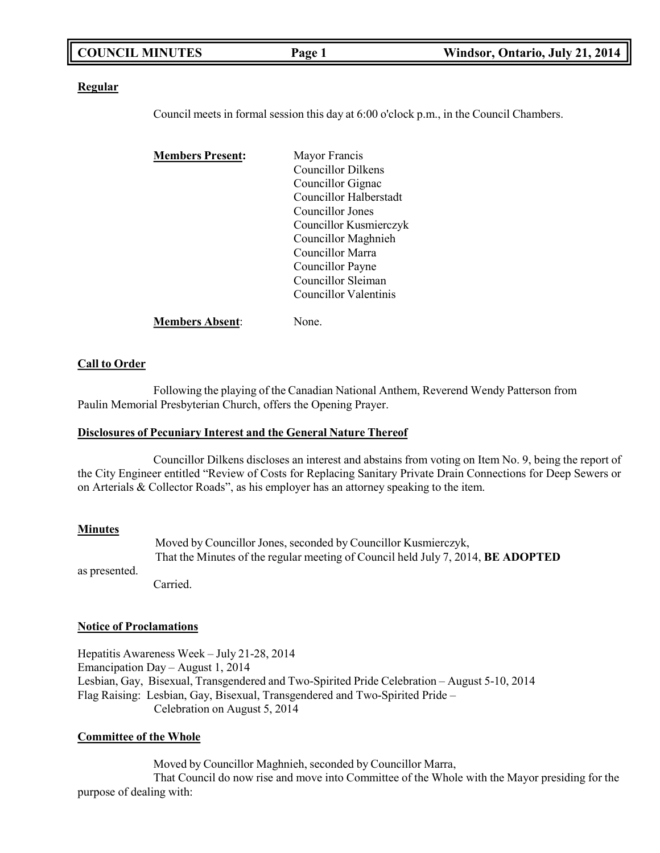|  | <b>COUNCIL MINUTES</b> | Page 1 | Windsor, Ontario, July 21, 2014 |
|--|------------------------|--------|---------------------------------|
|--|------------------------|--------|---------------------------------|

#### **Regular**

Council meets in formal session this day at 6:00 o'clock p.m., in the Council Chambers.

| <b>Members Present:</b> | Mayor Francis          |
|-------------------------|------------------------|
|                         | Councillor Dilkens     |
|                         | Councillor Gignac      |
|                         | Councillor Halberstadt |
|                         | Councillor Jones       |
|                         | Councillor Kusmierczyk |
|                         | Councillor Maghnieh    |
|                         | Councillor Marra       |
|                         | Councillor Payne       |
|                         | Councillor Sleiman     |
|                         | Councillor Valentinis  |
| <b>Members Absent:</b>  | None.                  |

#### **Call to Order**

Following the playing of the Canadian National Anthem, Reverend Wendy Patterson from Paulin Memorial Presbyterian Church, offers the Opening Prayer.

#### **Disclosures of Pecuniary Interest and the General Nature Thereof**

Councillor Dilkens discloses an interest and abstains from voting on Item No. 9, being the report of the City Engineer entitled "Review of Costs for Replacing Sanitary Private Drain Connections for Deep Sewers or on Arterials & Collector Roads", as his employer has an attorney speaking to the item.

#### **Minutes**

Moved by Councillor Jones, seconded by Councillor Kusmierczyk, That the Minutes of the regular meeting of Council held July 7, 2014, **BE ADOPTED**

as presented.

Carried.

#### **Notice of Proclamations**

Hepatitis Awareness Week – July 21-28, 2014 Emancipation Day – August 1, 2014 Lesbian, Gay, Bisexual, Transgendered and Two-Spirited Pride Celebration – August 5-10, 2014 Flag Raising: Lesbian, Gay, Bisexual, Transgendered and Two-Spirited Pride – Celebration on August 5, 2014

#### **Committee of the Whole**

Moved by Councillor Maghnieh, seconded by Councillor Marra, That Council do now rise and move into Committee of the Whole with the Mayor presiding for the purpose of dealing with: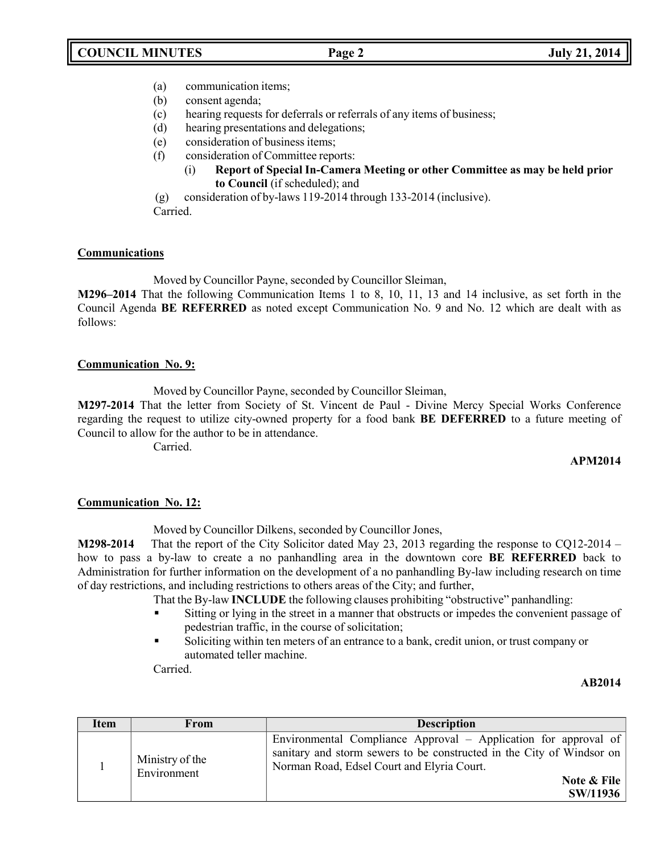- (a) communication items;
- (b) consent agenda;
- (c) hearing requests for deferrals or referrals of any items of business;
- (d) hearing presentations and delegations;
- (e) consideration of business items;
- (f) consideration of Committee reports:
	- (i) **Report of Special In-Camera Meeting or other Committee as may be held prior to Council** (if scheduled); and
- (g) consideration of by-laws 119-2014 through 133-2014 (inclusive).

Carried.

### **Communications**

Moved by Councillor Payne, seconded by Councillor Sleiman,

**M296–2014** That the following Communication Items 1 to 8, 10, 11, 13 and 14 inclusive, as set forth in the Council Agenda **BE REFERRED** as noted except Communication No. 9 and No. 12 which are dealt with as follows:

### **Communication No. 9:**

Moved by Councillor Payne, seconded by Councillor Sleiman,

**M297-2014** That the letter from Society of St. Vincent de Paul - Divine Mercy Special Works Conference regarding the request to utilize city-owned property for a food bank **BE DEFERRED** to a future meeting of Council to allow for the author to be in attendance.

Carried.

## **APM2014**

## **Communication No. 12:**

Moved by Councillor Dilkens, seconded by Councillor Jones,

**M298-2014** That the report of the City Solicitor dated May 23, 2013 regarding the response to CQ12-2014 – how to pass a by-law to create a no panhandling area in the downtown core **BE REFERRED** back to Administration for further information on the development of a no panhandling By-law including research on time of day restrictions, and including restrictions to others areas of the City; and further,

That the By-law **INCLUDE** the following clauses prohibiting "obstructive" panhandling:

- Sitting or lying in the street in a manner that obstructs or impedes the convenient passage of pedestrian traffic, in the course of solicitation;
- Soliciting within ten meters of an entrance to a bank, credit union, or trust company or automated teller machine.

Carried.

### **AB2014**

| <b>Item</b> | From                           | <b>Description</b>                                                                                                                                                                                                |
|-------------|--------------------------------|-------------------------------------------------------------------------------------------------------------------------------------------------------------------------------------------------------------------|
|             | Ministry of the<br>Environment | Environmental Compliance Approval – Application for approval of<br>sanitary and storm sewers to be constructed in the City of Windsor on<br>Norman Road, Edsel Court and Elyria Court.<br>Note & File<br>SW/11936 |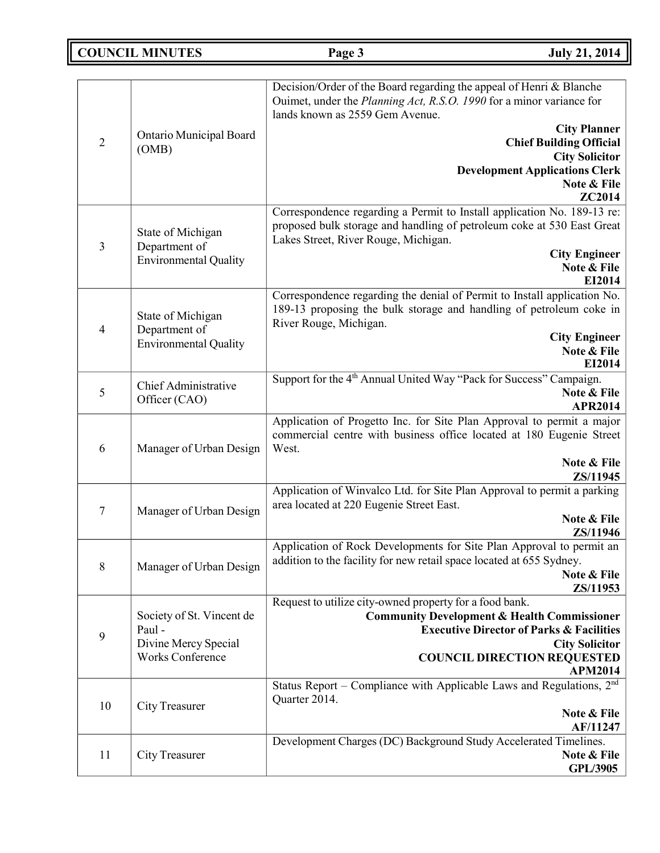**COUNCIL MINUTES Page 3 July 21, 2014**

|                |                              | Decision/Order of the Board regarding the appeal of Henri & Blanche<br>Ouimet, under the Planning Act, R.S.O. 1990 for a minor variance for |
|----------------|------------------------------|---------------------------------------------------------------------------------------------------------------------------------------------|
|                |                              | lands known as 2559 Gem Avenue.<br><b>City Planner</b>                                                                                      |
| $\overline{2}$ | Ontario Municipal Board      | <b>Chief Building Official</b>                                                                                                              |
|                | (OMB)                        | <b>City Solicitor</b>                                                                                                                       |
|                |                              | <b>Development Applications Clerk</b>                                                                                                       |
|                |                              | Note & File<br>ZC2014                                                                                                                       |
|                |                              | Correspondence regarding a Permit to Install application No. 189-13 re:                                                                     |
|                | State of Michigan            | proposed bulk storage and handling of petroleum coke at 530 East Great                                                                      |
| 3              | Department of                | Lakes Street, River Rouge, Michigan.<br><b>City Engineer</b>                                                                                |
|                | <b>Environmental Quality</b> | Note & File                                                                                                                                 |
|                |                              | EI2014                                                                                                                                      |
|                |                              | Correspondence regarding the denial of Permit to Install application No.                                                                    |
|                | State of Michigan            | 189-13 proposing the bulk storage and handling of petroleum coke in                                                                         |
| $\overline{4}$ | Department of                | River Rouge, Michigan.<br><b>City Engineer</b>                                                                                              |
|                | <b>Environmental Quality</b> | Note & File                                                                                                                                 |
|                |                              | EI2014                                                                                                                                      |
|                | Chief Administrative         | Support for the 4 <sup>th</sup> Annual United Way "Pack for Success" Campaign.                                                              |
| 5              | Officer (CAO)                | Note & File<br><b>APR2014</b>                                                                                                               |
|                |                              | Application of Progetto Inc. for Site Plan Approval to permit a major                                                                       |
|                |                              | commercial centre with business office located at 180 Eugenie Street                                                                        |
| 6              | Manager of Urban Design      | West.                                                                                                                                       |
|                |                              | Note & File<br>ZS/11945                                                                                                                     |
|                |                              | Application of Winvalco Ltd. for Site Plan Approval to permit a parking                                                                     |
| 7              | Manager of Urban Design      | area located at 220 Eugenie Street East.                                                                                                    |
|                |                              | Note & File                                                                                                                                 |
|                |                              | ZS/11946<br>Application of Rock Developments for Site Plan Approval to permit an                                                            |
|                |                              | addition to the facility for new retail space located at 655 Sydney.                                                                        |
| 8              | Manager of Urban Design      | Note & File                                                                                                                                 |
|                |                              | ZS/11953                                                                                                                                    |
|                | Society of St. Vincent de    | Request to utilize city-owned property for a food bank.<br><b>Community Development &amp; Health Commissioner</b>                           |
|                | Paul -                       | <b>Executive Director of Parks &amp; Facilities</b>                                                                                         |
| 9              | Divine Mercy Special         | <b>City Solicitor</b>                                                                                                                       |
|                | <b>Works Conference</b>      | <b>COUNCIL DIRECTION REQUESTED</b>                                                                                                          |
|                |                              | <b>APM2014</b><br>Status Report - Compliance with Applicable Laws and Regulations, 2 <sup>nd</sup>                                          |
|                |                              | Quarter 2014.                                                                                                                               |
| 10             | City Treasurer               | Note & File                                                                                                                                 |
|                |                              | AF/11247                                                                                                                                    |
|                |                              | Development Charges (DC) Background Study Accelerated Timelines.                                                                            |
| 11             | City Treasurer               | Note & File<br><b>GPL/3905</b>                                                                                                              |
|                |                              |                                                                                                                                             |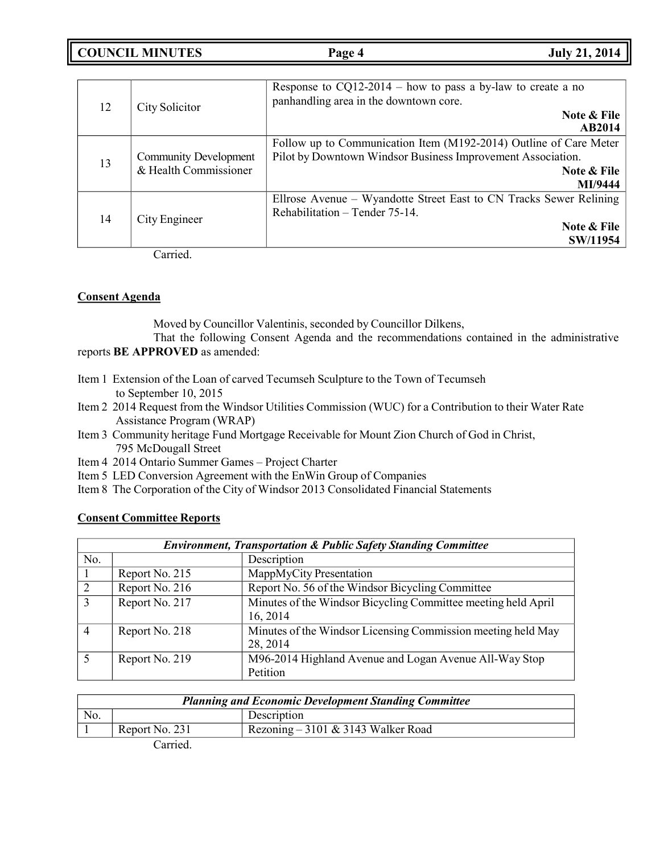**COUNCIL MINUTES Page 4 July 21, 2014**

| 12 | City Solicitor                                        | Response to $CQ12-2014$ – how to pass a by-law to create a no<br>panhandling area in the downtown core.<br>Note & File<br><b>AB2014</b>                    |
|----|-------------------------------------------------------|------------------------------------------------------------------------------------------------------------------------------------------------------------|
| 13 | <b>Community Development</b><br>& Health Commissioner | Follow up to Communication Item (M192-2014) Outline of Care Meter<br>Pilot by Downtown Windsor Business Improvement Association.<br>Note & File<br>MI/9444 |
| 14 | City Engineer                                         | Ellrose Avenue – Wyandotte Street East to CN Tracks Sewer Relining<br>Rehabilitation - Tender 75-14.<br>Note & File<br>SW/11954                            |

Carried.

## **Consent Agenda**

Moved by Councillor Valentinis, seconded by Councillor Dilkens,

That the following Consent Agenda and the recommendations contained in the administrative reports **BE APPROVED** as amended:

- Item 1 Extension of the Loan of carved Tecumseh Sculpture to the Town of Tecumseh to September 10, 2015
- Item 2 2014 Request from the Windsor Utilities Commission (WUC) for a Contribution to their Water Rate Assistance Program (WRAP)
- Item 3 Community heritage Fund Mortgage Receivable for Mount Zion Church of God in Christ, 795 McDougall Street
- Item 4 2014 Ontario Summer Games Project Charter
- Item 5 LED Conversion Agreement with the EnWin Group of Companies
- Item 8 The Corporation of the City of Windsor 2013 Consolidated Financial Statements

## **Consent Committee Reports**

| <b>Environment, Transportation &amp; Public Safety Standing Committee</b> |                |                                                                           |
|---------------------------------------------------------------------------|----------------|---------------------------------------------------------------------------|
| No.                                                                       |                | Description                                                               |
|                                                                           | Report No. 215 | MappMyCity Presentation                                                   |
| $\overline{2}$                                                            | Report No. 216 | Report No. 56 of the Windsor Bicycling Committee                          |
| $\mathcal{R}$                                                             | Report No. 217 | Minutes of the Windsor Bicycling Committee meeting held April<br>16, 2014 |
| $\overline{4}$                                                            | Report No. 218 | Minutes of the Windsor Licensing Commission meeting held May<br>28, 2014  |
|                                                                           | Report No. 219 | M96-2014 Highland Avenue and Logan Avenue All-Way Stop<br>Petition        |

| <b>Planning and Economic Development Standing Committee</b> |                |                                    |
|-------------------------------------------------------------|----------------|------------------------------------|
| No.                                                         |                | Description                        |
|                                                             | Report No. 231 | Rezoning – 3101 & 3143 Walker Road |
|                                                             |                |                                    |

Carried.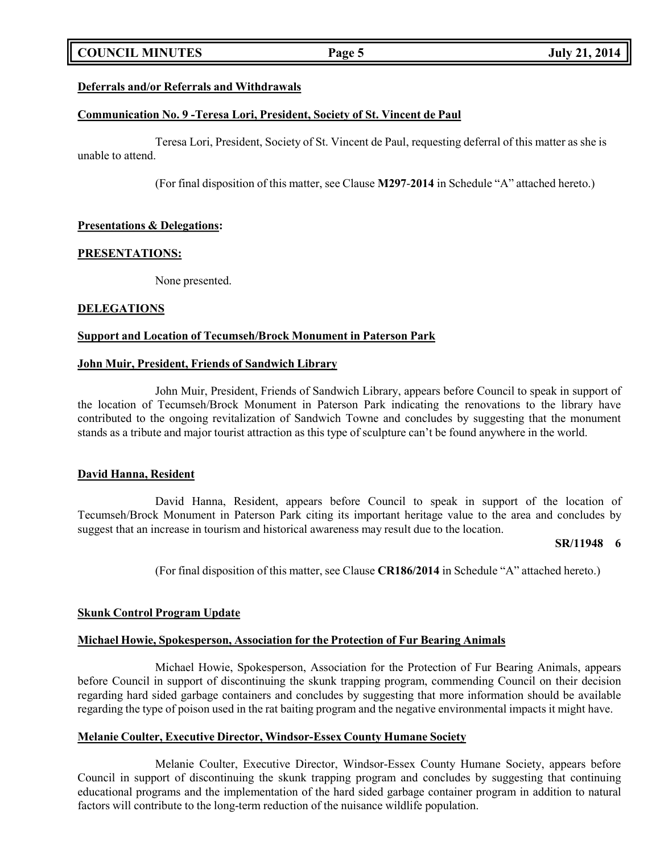## **COUNCIL MINUTES Page 5 July 21, 2014**

### **Deferrals and/or Referrals and Withdrawals**

#### **Communication No. 9 -Teresa Lori, President, Society of St. Vincent de Paul**

Teresa Lori, President, Society of St. Vincent de Paul, requesting deferral of this matter as she is unable to attend.

(For final disposition of this matter, see Clause **M297**-**2014** in Schedule "A" attached hereto.)

#### **Presentations & Delegations:**

#### **PRESENTATIONS:**

None presented.

#### **DELEGATIONS**

#### **Support and Location of Tecumseh/Brock Monument in Paterson Park**

#### **John Muir, President, Friends of Sandwich Library**

John Muir, President, Friends of Sandwich Library, appears before Council to speak in support of the location of Tecumseh/Brock Monument in Paterson Park indicating the renovations to the library have contributed to the ongoing revitalization of Sandwich Towne and concludes by suggesting that the monument stands as a tribute and major tourist attraction as this type of sculpture can't be found anywhere in the world.

#### **David Hanna, Resident**

David Hanna, Resident, appears before Council to speak in support of the location of Tecumseh/Brock Monument in Paterson Park citing its important heritage value to the area and concludes by suggest that an increase in tourism and historical awareness may result due to the location.

#### **SR/11948 6**

(For final disposition of this matter, see Clause **CR186/2014** in Schedule "A" attached hereto.)

#### **Skunk Control Program Update**

#### **Michael Howie, Spokesperson, Association for the Protection of Fur Bearing Animals**

Michael Howie, Spokesperson, Association for the Protection of Fur Bearing Animals, appears before Council in support of discontinuing the skunk trapping program, commending Council on their decision regarding hard sided garbage containers and concludes by suggesting that more information should be available regarding the type of poison used in the rat baiting program and the negative environmental impacts it might have.

#### **Melanie Coulter, Executive Director, Windsor-Essex County Humane Society**

Melanie Coulter, Executive Director, Windsor-Essex County Humane Society, appears before Council in support of discontinuing the skunk trapping program and concludes by suggesting that continuing educational programs and the implementation of the hard sided garbage container program in addition to natural factors will contribute to the long-term reduction of the nuisance wildlife population.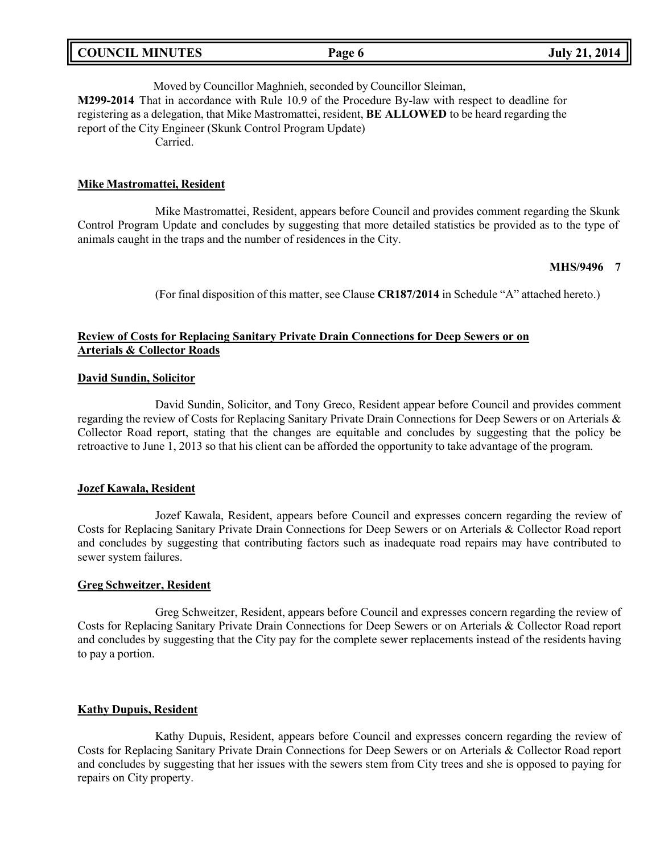| <b>COUNCIL MINUTES</b> | Page 6 | <b>July 21, 2014</b> |
|------------------------|--------|----------------------|
|                        |        |                      |

Moved by Councillor Maghnieh, seconded by Councillor Sleiman, **M299-2014** That in accordance with Rule 10.9 of the Procedure By-law with respect to deadline for registering as a delegation, that Mike Mastromattei, resident, **BE ALLOWED** to be heard regarding the report of the City Engineer (Skunk Control Program Update) Carried.

#### **Mike Mastromattei, Resident**

Mike Mastromattei, Resident, appears before Council and provides comment regarding the Skunk Control Program Update and concludes by suggesting that more detailed statistics be provided as to the type of animals caught in the traps and the number of residences in the City.

#### **MHS/9496 7**

(For final disposition of this matter, see Clause **CR187/2014** in Schedule "A" attached hereto.)

### **Review of Costs for Replacing Sanitary Private Drain Connections for Deep Sewers or on Arterials & Collector Roads**

#### **David Sundin, Solicitor**

David Sundin, Solicitor, and Tony Greco, Resident appear before Council and provides comment regarding the review of Costs for Replacing Sanitary Private Drain Connections for Deep Sewers or on Arterials & Collector Road report, stating that the changes are equitable and concludes by suggesting that the policy be retroactive to June 1, 2013 so that his client can be afforded the opportunity to take advantage of the program.

#### **Jozef Kawala, Resident**

Jozef Kawala, Resident, appears before Council and expresses concern regarding the review of Costs for Replacing Sanitary Private Drain Connections for Deep Sewers or on Arterials & Collector Road report and concludes by suggesting that contributing factors such as inadequate road repairs may have contributed to sewer system failures.

#### **Greg Schweitzer, Resident**

Greg Schweitzer, Resident, appears before Council and expresses concern regarding the review of Costs for Replacing Sanitary Private Drain Connections for Deep Sewers or on Arterials & Collector Road report and concludes by suggesting that the City pay for the complete sewer replacements instead of the residents having to pay a portion.

#### **Kathy Dupuis, Resident**

Kathy Dupuis, Resident, appears before Council and expresses concern regarding the review of Costs for Replacing Sanitary Private Drain Connections for Deep Sewers or on Arterials & Collector Road report and concludes by suggesting that her issues with the sewers stem from City trees and she is opposed to paying for repairs on City property.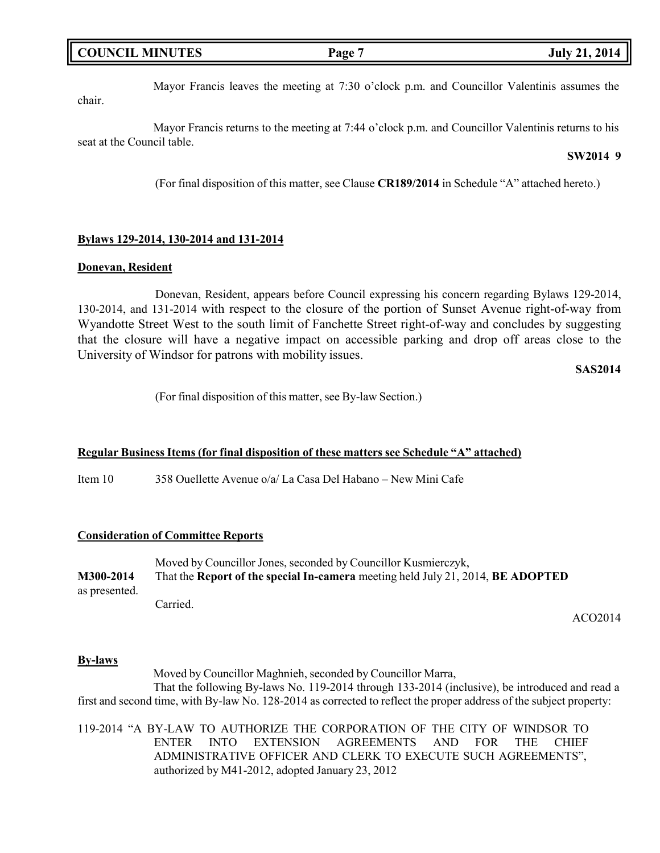| <b>COUNCIL MINUTES</b> | Page ' | <b>July 21, 2014</b> |
|------------------------|--------|----------------------|
|                        |        |                      |

Mayor Francis leaves the meeting at 7:30 o'clock p.m. and Councillor Valentinis assumes the chair.

Mayor Francis returns to the meeting at 7:44 o'clock p.m. and Councillor Valentinis returns to his seat at the Council table.

#### **SW2014 9**

(For final disposition of this matter, see Clause **CR189/2014** in Schedule "A" attached hereto.)

#### **Bylaws 129-2014, 130-2014 and 131-2014**

#### **Donevan, Resident**

Donevan, Resident, appears before Council expressing his concern regarding Bylaws 129-2014, 130-2014, and 131-2014 with respect to the closure of the portion of Sunset Avenue right-of-way from Wyandotte Street West to the south limit of Fanchette Street right-of-way and concludes by suggesting that the closure will have a negative impact on accessible parking and drop off areas close to the University of Windsor for patrons with mobility issues.

#### **SAS2014**

(For final disposition of this matter, see By-law Section.)

#### **Regular Business Items (for final disposition of these matters see Schedule "A" attached)**

Item 10 358 Ouellette Avenue o/a/ La Casa Del Habano – New Mini Cafe

#### **Consideration of Committee Reports**

Moved by Councillor Jones, seconded by Councillor Kusmierczyk, **M300-2014** That the **Report of the special In-camera** meeting held July 21, 2014, **BE ADOPTED** as presented. Carried.

ACO2014

#### **By-laws**

Moved by Councillor Maghnieh, seconded by Councillor Marra, That the following By-laws No. 119-2014 through 133-2014 (inclusive), be introduced and read a first and second time, with By-law No. 128-2014 as corrected to reflect the proper address of the subject property:

119-2014 "A BY-LAW TO AUTHORIZE THE CORPORATION OF THE CITY OF WINDSOR TO ENTER INTO EXTENSION AGREEMENTS AND FOR THE CHIEF ADMINISTRATIVE OFFICER AND CLERK TO EXECUTE SUCH AGREEMENTS", authorized by M41-2012, adopted January 23, 2012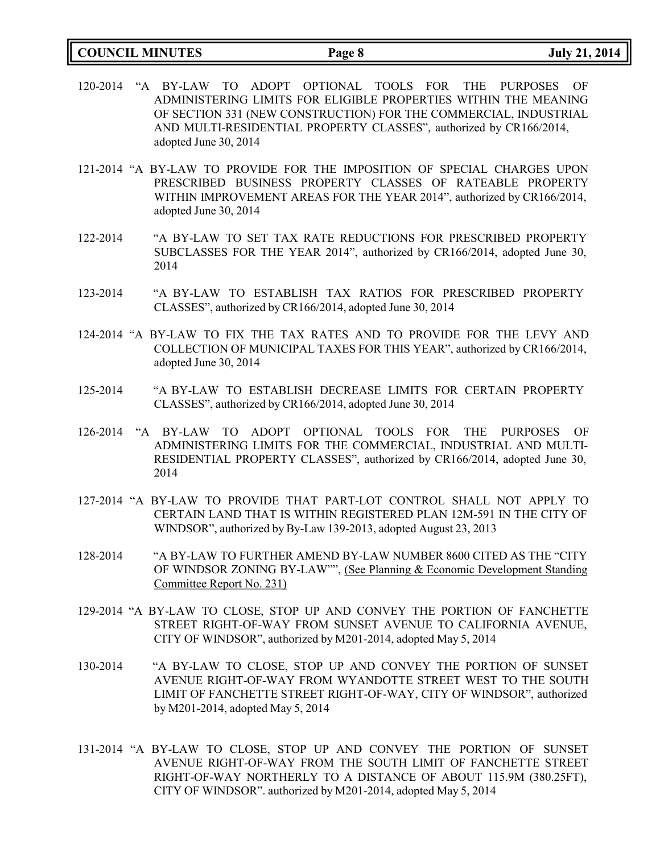| <b>COUNCIL MINUTES</b> | Page 8 |
|------------------------|--------|
|                        |        |

- 120-2014 "A BY-LAW TO ADOPT OPTIONAL TOOLS FOR THE PURPOSES OF ADMINISTERING LIMITS FOR ELIGIBLE PROPERTIES WITHIN THE MEANING OF SECTION 331 (NEW CONSTRUCTION) FOR THE COMMERCIAL, INDUSTRIAL AND MULTI-RESIDENTIAL PROPERTY CLASSES", authorized by CR166/2014, adopted June 30, 2014
- 121-2014 "A BY-LAW TO PROVIDE FOR THE IMPOSITION OF SPECIAL CHARGES UPON PRESCRIBED BUSINESS PROPERTY CLASSES OF RATEABLE PROPERTY WITHIN IMPROVEMENT AREAS FOR THE YEAR 2014", authorized by CR166/2014, adopted June 30, 2014
- 122-2014 "A BY-LAW TO SET TAX RATE REDUCTIONS FOR PRESCRIBED PROPERTY SUBCLASSES FOR THE YEAR 2014", authorized by CR166/2014, adopted June 30, 2014
- 123-2014 "A BY-LAW TO ESTABLISH TAX RATIOS FOR PRESCRIBED PROPERTY CLASSES", authorized by CR166/2014, adopted June 30, 2014
- 124-2014 "A BY-LAW TO FIX THE TAX RATES AND TO PROVIDE FOR THE LEVY AND COLLECTION OF MUNICIPAL TAXES FOR THIS YEAR", authorized by CR166/2014, adopted June 30, 2014
- 125-2014 "A BY-LAW TO ESTABLISH DECREASE LIMITS FOR CERTAIN PROPERTY CLASSES", authorized by CR166/2014, adopted June 30, 2014
- 126-2014 "A BY-LAW TO ADOPT OPTIONAL TOOLS FOR THE PURPOSES OF ADMINISTERING LIMITS FOR THE COMMERCIAL, INDUSTRIAL AND MULTI-RESIDENTIAL PROPERTY CLASSES", authorized by CR166/2014, adopted June 30, 2014
- 127-2014 "A BY-LAW TO PROVIDE THAT PART-LOT CONTROL SHALL NOT APPLY TO CERTAIN LAND THAT IS WITHIN REGISTERED PLAN 12M-591 IN THE CITY OF WINDSOR", authorized by By-Law 139-2013, adopted August 23, 2013
- 128-2014 "A BY-LAW TO FURTHER AMEND BY-LAW NUMBER 8600 CITED AS THE "CITY OF WINDSOR ZONING BY-LAW"", (See Planning & Economic Development Standing Committee Report No. 231)
- 129-2014 "A BY-LAW TO CLOSE, STOP UP AND CONVEY THE PORTION OF FANCHETTE STREET RIGHT-OF-WAY FROM SUNSET AVENUE TO CALIFORNIA AVENUE, CITY OF WINDSOR", authorized by M201-2014, adopted May 5, 2014
- 130-2014 "A BY-LAW TO CLOSE, STOP UP AND CONVEY THE PORTION OF SUNSET AVENUE RIGHT-OF-WAY FROM WYANDOTTE STREET WEST TO THE SOUTH LIMIT OF FANCHETTE STREET RIGHT-OF-WAY, CITY OF WINDSOR", authorized by M201-2014, adopted May 5, 2014
- 131-2014 "A BY-LAW TO CLOSE, STOP UP AND CONVEY THE PORTION OF SUNSET AVENUE RIGHT-OF-WAY FROM THE SOUTH LIMIT OF FANCHETTE STREET RIGHT-OF-WAY NORTHERLY TO A DISTANCE OF ABOUT 115.9M (380.25FT), CITY OF WINDSOR". authorized by M201-2014, adopted May 5, 2014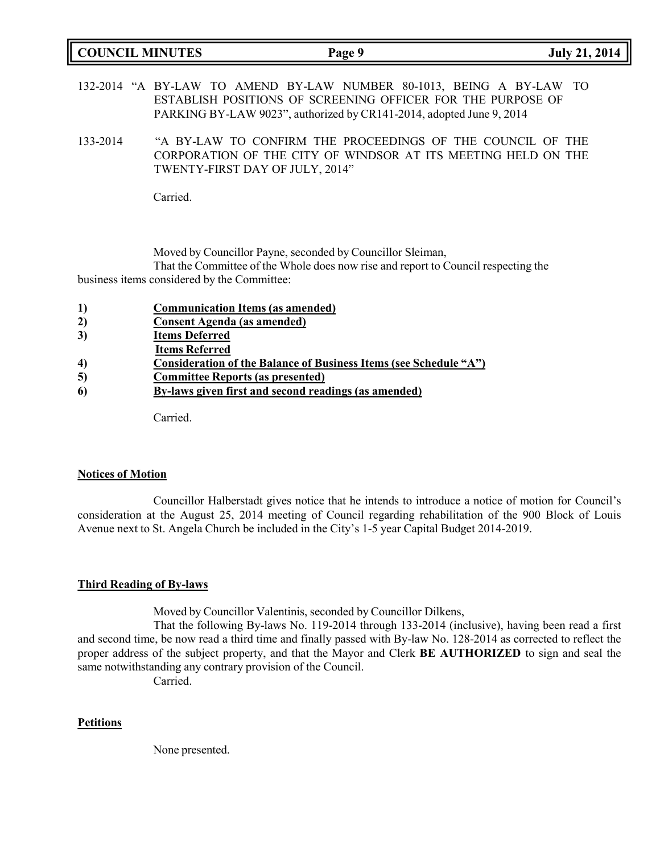| <b>COUNCIL MINUTES</b> | Page 9 | 2014<br><b>July 21,</b> |
|------------------------|--------|-------------------------|
|                        |        |                         |

132-2014 "A BY-LAW TO AMEND BY-LAW NUMBER 80-1013, BEING A BY-LAW TO ESTABLISH POSITIONS OF SCREENING OFFICER FOR THE PURPOSE OF PARKING BY-LAW 9023", authorized by CR141-2014, adopted June 9, 2014

133-2014 "A BY-LAW TO CONFIRM THE PROCEEDINGS OF THE COUNCIL OF THE CORPORATION OF THE CITY OF WINDSOR AT ITS MEETING HELD ON THE TWENTY-FIRST DAY OF JULY, 2014"

Carried.

Moved by Councillor Payne, seconded by Councillor Sleiman,

That the Committee of the Whole does now rise and report to Council respecting the business items considered by the Committee:

- **1) Communication Items (as amended)**
- **2) Consent Agenda (as amended)**
- **3) Items Deferred**
- **Items Referred**
- **4) Consideration of the Balance of Business Items (see Schedule "A")**
- **5) Committee Reports (as presented)**
- **6) By-laws given first and second readings (as amended)**

Carried.

#### **Notices of Motion**

Councillor Halberstadt gives notice that he intends to introduce a notice of motion for Council's consideration at the August 25, 2014 meeting of Council regarding rehabilitation of the 900 Block of Louis Avenue next to St. Angela Church be included in the City's 1-5 year Capital Budget 2014-2019.

### **Third Reading of By-laws**

Moved by Councillor Valentinis, seconded by Councillor Dilkens,

That the following By-laws No. 119-2014 through 133-2014 (inclusive), having been read a first and second time, be now read a third time and finally passed with By-law No. 128-2014 as corrected to reflect the proper address of the subject property, and that the Mayor and Clerk **BE AUTHORIZED** to sign and seal the same notwithstanding any contrary provision of the Council.

Carried.

### **Petitions**

None presented.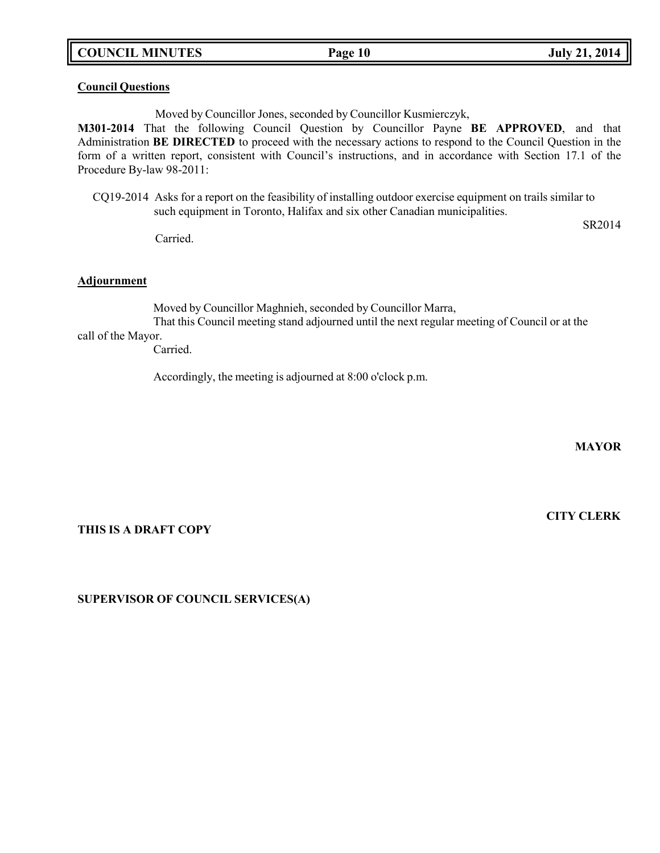**COUNCIL MINUTES Page 10 July 21, 2014**

#### **Council Questions**

Moved by Councillor Jones, seconded by Councillor Kusmierczyk,

**M301-2014** That the following Council Question by Councillor Payne **BE APPROVED**, and that Administration **BE DIRECTED** to proceed with the necessary actions to respond to the Council Question in the form of a written report, consistent with Council's instructions, and in accordance with Section 17.1 of the Procedure By-law 98-2011:

CQ19-2014 Asks for a report on the feasibility of installing outdoor exercise equipment on trails similar to such equipment in Toronto, Halifax and six other Canadian municipalities.

Carried.

**Adjournment**

Moved by Councillor Maghnieh, seconded by Councillor Marra,

That this Council meeting stand adjourned until the next regular meeting of Council or at the call of the Mayor.

Carried.

Accordingly, the meeting is adjourned at 8:00 o'clock p.m.

**MAYOR**

**CITY CLERK**

SR2014

### **THIS IS A DRAFT COPY**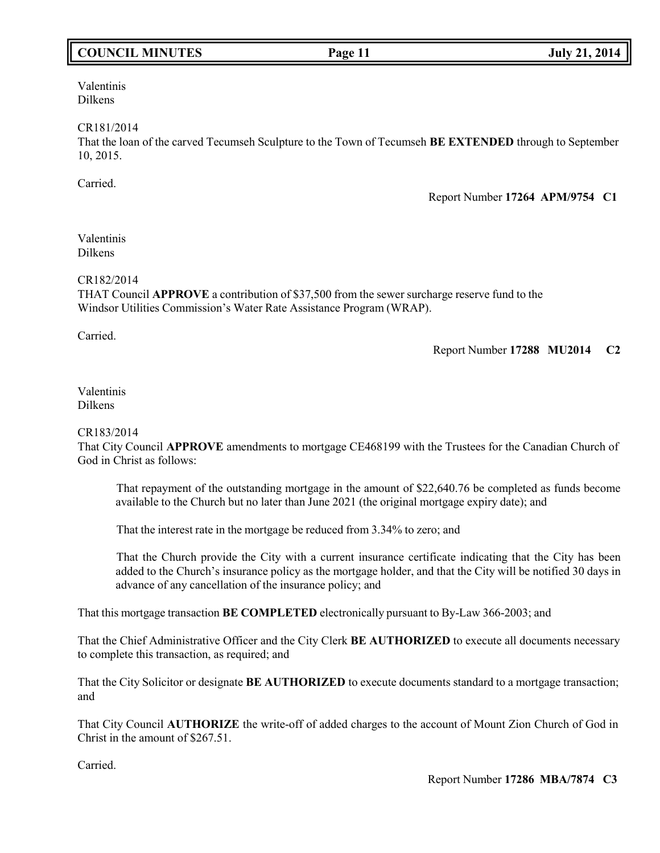## **COUNCIL MINUTES Page 11 July 21, 2014**

Valentinis Dilkens

#### CR181/2014

That the loan of the carved Tecumseh Sculpture to the Town of Tecumseh **BE EXTENDED** through to September 10, 2015.

Carried.

Report Number **17264 APM/9754 C1**

#### Valentinis Dilkens

### CR182/2014

THAT Council **APPROVE** a contribution of \$37,500 from the sewer surcharge reserve fund to the Windsor Utilities Commission's Water Rate Assistance Program (WRAP).

Carried.

Report Number **17288 MU2014 C2**

### Valentinis Dilkens

### CR183/2014

That City Council **APPROVE** amendments to mortgage CE468199 with the Trustees for the Canadian Church of God in Christ as follows:

That repayment of the outstanding mortgage in the amount of \$22,640.76 be completed as funds become available to the Church but no later than June 2021 (the original mortgage expiry date); and

That the interest rate in the mortgage be reduced from 3.34% to zero; and

That the Church provide the City with a current insurance certificate indicating that the City has been added to the Church's insurance policy as the mortgage holder, and that the City will be notified 30 days in advance of any cancellation of the insurance policy; and

That this mortgage transaction **BE COMPLETED** electronically pursuant to By-Law 366-2003; and

That the Chief Administrative Officer and the City Clerk **BE AUTHORIZED** to execute all documents necessary to complete this transaction, as required; and

That the City Solicitor or designate **BE AUTHORIZED** to execute documents standard to a mortgage transaction; and

That City Council **AUTHORIZE** the write-off of added charges to the account of Mount Zion Church of God in Christ in the amount of \$267.51.

Carried.

Report Number **17286 MBA/7874 C3**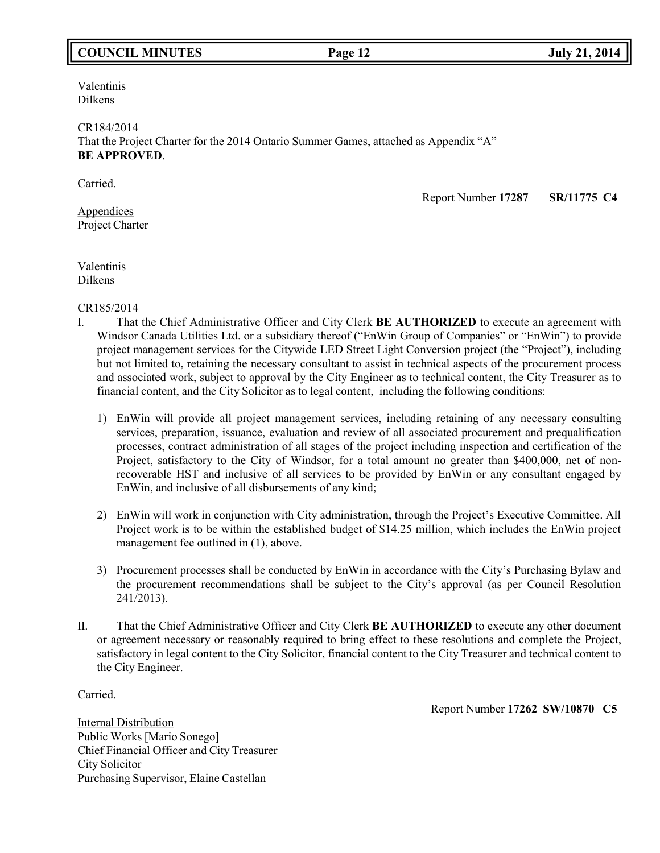## **COUNCIL MINUTES Page 12 July 21, 2014**

Valentinis Dilkens

CR184/2014 That the Project Charter for the 2014 Ontario Summer Games, attached as Appendix "A" **BE APPROVED**.

Carried.

Appendices Project Charter Report Number **17287 SR/11775 C4**

Valentinis Dilkens

CR185/2014

- I. That the Chief Administrative Officer and City Clerk **BE AUTHORIZED** to execute an agreement with Windsor Canada Utilities Ltd. or a subsidiary thereof ("EnWin Group of Companies" or "EnWin") to provide project management services for the Citywide LED Street Light Conversion project (the "Project"), including but not limited to, retaining the necessary consultant to assist in technical aspects of the procurement process and associated work, subject to approval by the City Engineer as to technical content, the City Treasurer as to financial content, and the City Solicitor as to legal content, including the following conditions:
	- 1) EnWin will provide all project management services, including retaining of any necessary consulting services, preparation, issuance, evaluation and review of all associated procurement and prequalification processes, contract administration of all stages of the project including inspection and certification of the Project, satisfactory to the City of Windsor, for a total amount no greater than \$400,000, net of nonrecoverable HST and inclusive of all services to be provided by EnWin or any consultant engaged by EnWin, and inclusive of all disbursements of any kind;
	- 2) EnWin will work in conjunction with City administration, through the Project's Executive Committee. All Project work is to be within the established budget of \$14.25 million, which includes the EnWin project management fee outlined in (1), above.
	- 3) Procurement processes shall be conducted by EnWin in accordance with the City's Purchasing Bylaw and the procurement recommendations shall be subject to the City's approval (as per Council Resolution 241/2013).
- II. That the Chief Administrative Officer and City Clerk **BE AUTHORIZED** to execute any other document or agreement necessary or reasonably required to bring effect to these resolutions and complete the Project, satisfactory in legal content to the City Solicitor, financial content to the City Treasurer and technical content to the City Engineer.

Carried.

Report Number **17262 SW/10870 C5**

Internal Distribution Public Works [Mario Sonego] Chief Financial Officer and City Treasurer City Solicitor Purchasing Supervisor, Elaine Castellan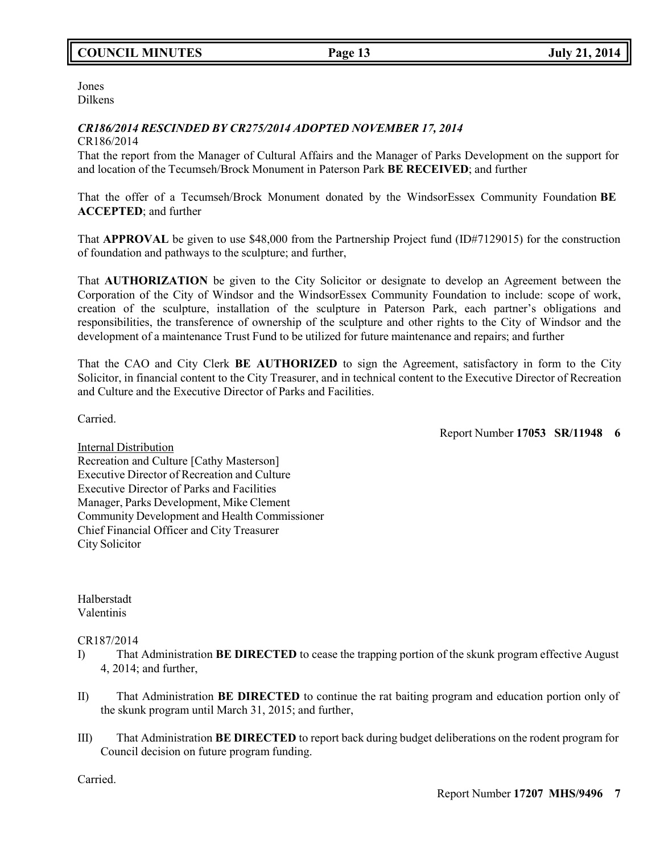## **COUNCIL MINUTES Page 13 July 21, 2014**

Jones Dilkens

### *CR186/2014 RESCINDED BY CR275/2014 ADOPTED NOVEMBER 17, 2014*

#### CR186/2014

That the report from the Manager of Cultural Affairs and the Manager of Parks Development on the support for and location of the Tecumseh/Brock Monument in Paterson Park **BE RECEIVED**; and further

That the offer of a Tecumseh/Brock Monument donated by the WindsorEssex Community Foundation **BE ACCEPTED**; and further

That **APPROVAL** be given to use \$48,000 from the Partnership Project fund (ID#7129015) for the construction of foundation and pathways to the sculpture; and further,

That **AUTHORIZATION** be given to the City Solicitor or designate to develop an Agreement between the Corporation of the City of Windsor and the WindsorEssex Community Foundation to include: scope of work, creation of the sculpture, installation of the sculpture in Paterson Park, each partner's obligations and responsibilities, the transference of ownership of the sculpture and other rights to the City of Windsor and the development of a maintenance Trust Fund to be utilized for future maintenance and repairs; and further

That the CAO and City Clerk **BE AUTHORIZED** to sign the Agreement, satisfactory in form to the City Solicitor, in financial content to the City Treasurer, and in technical content to the Executive Director of Recreation and Culture and the Executive Director of Parks and Facilities.

Carried.

Report Number **17053 SR/11948 6**

Internal Distribution Recreation and Culture [Cathy Masterson] Executive Director of Recreation and Culture Executive Director of Parks and Facilities Manager, Parks Development, Mike Clement Community Development and Health Commissioner Chief Financial Officer and City Treasurer City Solicitor

Halberstadt Valentinis

### CR187/2014

- I) That Administration **BE DIRECTED** to cease the trapping portion of the skunk program effective August 4, 2014; and further,
- II) That Administration **BE DIRECTED** to continue the rat baiting program and education portion only of the skunk program until March 31, 2015; and further,
- III) That Administration **BE DIRECTED** to report back during budget deliberations on the rodent program for Council decision on future program funding.

Carried.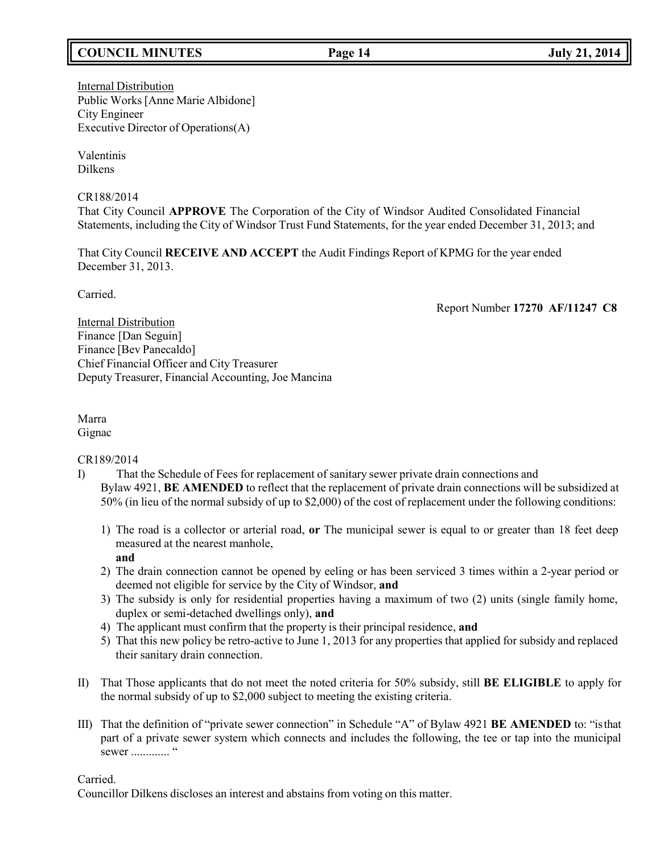## **COUNCIL MINUTES Page 14 July 21, 2014**

### Internal Distribution Public Works [Anne Marie Albidone] City Engineer Executive Director of Operations(A)

Valentinis Dilkens

CR188/2014

That City Council **APPROVE** The Corporation of the City of Windsor Audited Consolidated Financial Statements, including the City of Windsor Trust Fund Statements, for the year ended December 31, 2013; and

That City Council **RECEIVE AND ACCEPT** the Audit Findings Report of KPMG for the year ended December 31, 2013.

Carried.

Report Number **17270 AF/11247 C8**

Internal Distribution Finance [Dan Seguin] Finance [Bev Panecaldo] Chief Financial Officer and City Treasurer Deputy Treasurer, Financial Accounting, Joe Mancina

Marra Gignac

CR189/2014

- I) That the Schedule of Fees for replacement of sanitary sewer private drain connections and Bylaw 4921, **BE AMENDED** to reflect that the replacement of private drain connections will be subsidized at 50% (in lieu of the normal subsidy of up to \$2,000) of the cost of replacement under the following conditions:
	- 1) The road is a collector or arterial road, **or** The municipal sewer is equal to or greater than 18 feet deep measured at the nearest manhole, **and**
	- 2) The drain connection cannot be opened by eeling or has been serviced 3 times within a 2-year period or deemed not eligible for service by the City of Windsor, **and**
	- 3) The subsidy is only for residential properties having a maximum of two (2) units (single family home, duplex or semi-detached dwellings only), **and**
	- 4) The applicant must confirm that the property is their principal residence, **and**
	- 5) That this new policy be retro-active to June 1, 2013 for any properties that applied for subsidy and replaced their sanitary drain connection.
- II) That Those applicants that do not meet the noted criteria for 50% subsidy, still **BE ELIGIBLE** to apply for the normal subsidy of up to \$2,000 subject to meeting the existing criteria.
- III) That the definition of "private sewer connection" in Schedule "A" of Bylaw 4921 **BE AMENDED** to: "isthat part of a private sewer system which connects and includes the following, the tee or tap into the municipal sewer ............. "

Carried.

Councillor Dilkens discloses an interest and abstains from voting on this matter.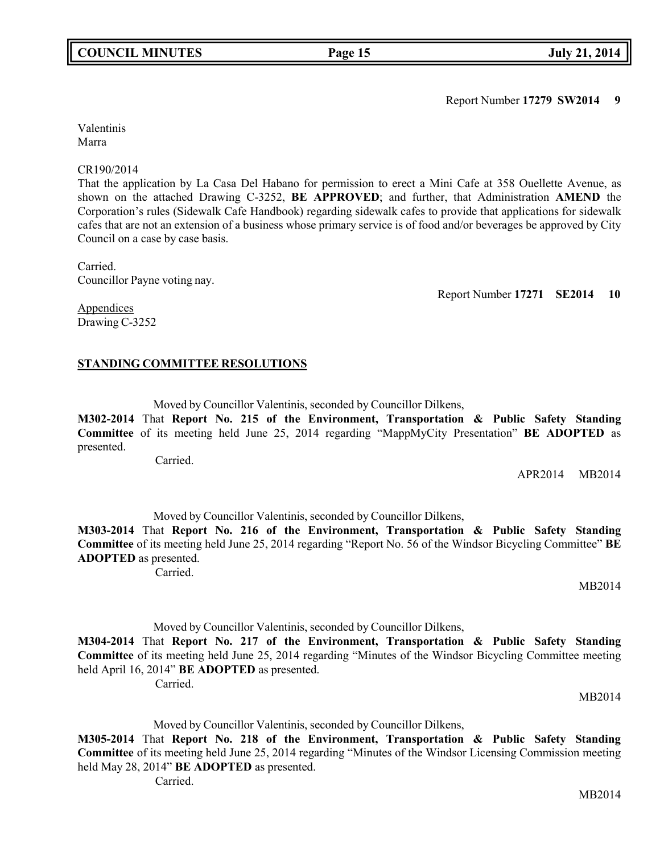Report Number **17279 SW2014 9**

Valentinis Marra

### CR190/2014

That the application by La Casa Del Habano for permission to erect a Mini Cafe at 358 Ouellette Avenue, as shown on the attached Drawing C-3252, **BE APPROVED**; and further, that Administration **AMEND** the Corporation's rules (Sidewalk Cafe Handbook) regarding sidewalk cafes to provide that applications for sidewalk cafes that are not an extension of a business whose primary service is of food and/or beverages be approved by City Council on a case by case basis.

Carried. Councillor Payne voting nay.

Report Number **17271 SE2014 10**

**Appendices** Drawing C-3252

## **STANDING COMMITTEE RESOLUTIONS**

Moved by Councillor Valentinis, seconded by Councillor Dilkens,

**M302-2014** That **Report No. 215 of the Environment, Transportation & Public Safety Standing Committee** of its meeting held June 25, 2014 regarding "MappMyCity Presentation" **BE ADOPTED** as presented.

Carried.

APR2014 MB2014

Moved by Councillor Valentinis, seconded by Councillor Dilkens, **M303-2014** That **Report No. 216 of the Environment, Transportation & Public Safety Standing**

**Committee** of its meeting held June 25, 2014 regarding "Report No. 56 of the Windsor Bicycling Committee" **BE ADOPTED** as presented.

Carried.

MB2014

Moved by Councillor Valentinis, seconded by Councillor Dilkens,

**M304-2014** That **Report No. 217 of the Environment, Transportation & Public Safety Standing Committee** of its meeting held June 25, 2014 regarding "Minutes of the Windsor Bicycling Committee meeting held April 16, 2014" **BE ADOPTED** as presented. Carried.

MB2014

Moved by Councillor Valentinis, seconded by Councillor Dilkens,

**M305-2014** That **Report No. 218 of the Environment, Transportation & Public Safety Standing Committee** of its meeting held June 25, 2014 regarding "Minutes of the Windsor Licensing Commission meeting held May 28, 2014" **BE ADOPTED** as presented.

Carried.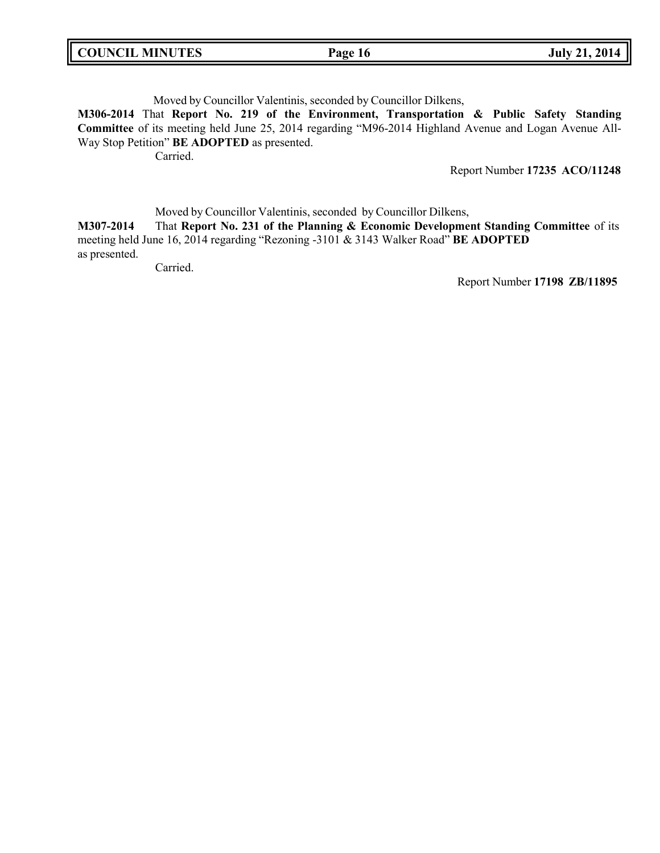| <b>COUNCIL MINUTES</b> | Page 16 | <b>July 21, 2014</b> |
|------------------------|---------|----------------------|
|                        |         |                      |

Moved by Councillor Valentinis, seconded by Councillor Dilkens,

**M306-2014** That **Report No. 219 of the Environment, Transportation & Public Safety Standing Committee** of its meeting held June 25, 2014 regarding "M96-2014 Highland Avenue and Logan Avenue All-Way Stop Petition" **BE ADOPTED** as presented.

Carried.

Report Number **17235 ACO/11248**

Moved by Councillor Valentinis, seconded by Councillor Dilkens,

**M307-2014** That **Report No. 231 of the Planning & Economic Development Standing Committee** of its meeting held June 16, 2014 regarding "Rezoning -3101 & 3143 Walker Road" **BE ADOPTED** as presented.

Carried.

Report Number **17198 ZB/11895**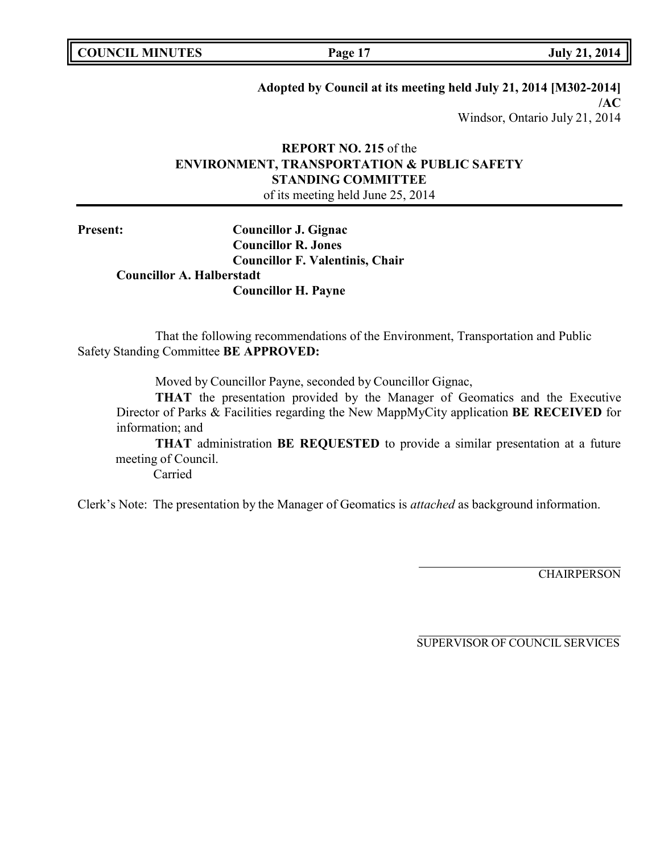## **Adopted by Council at its meeting held July 21, 2014 [M302-2014]**

**/AC** Windsor, Ontario July 21, 2014

## **REPORT NO. 215** of the **ENVIRONMENT, TRANSPORTATION & PUBLIC SAFETY STANDING COMMITTEE** of its meeting held June 25, 2014

**Present: Councillor J. Gignac Councillor R. Jones Councillor F. Valentinis, Chair Councillor A. Halberstadt Councillor H. Payne**

That the following recommendations of the Environment, Transportation and Public Safety Standing Committee **BE APPROVED:**

Moved by Councillor Payne, seconded by Councillor Gignac,

**THAT** the presentation provided by the Manager of Geomatics and the Executive Director of Parks & Facilities regarding the New MappMyCity application **BE RECEIVED** for information; and

**THAT** administration **BE REQUESTED** to provide a similar presentation at a future meeting of Council.

Carried

Clerk's Note: The presentation by the Manager of Geomatics is *attached* as background information.

**CHAIRPERSON**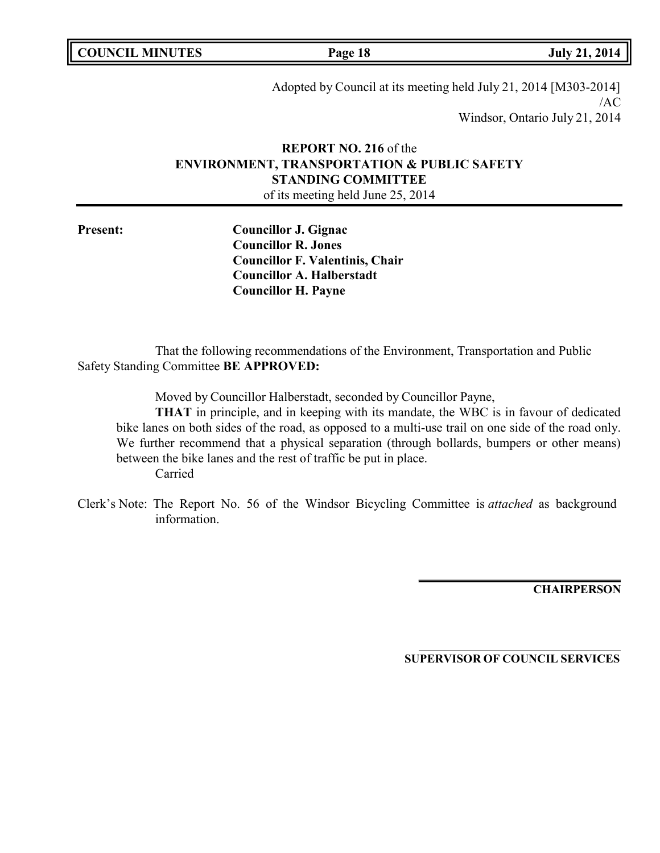**COUNCIL MINUTES Page 18 July 21, 2014**

Adopted by Council at its meeting held July 21, 2014 [M303-2014] /AC Windsor, Ontario July 21, 2014

# **REPORT NO. 216** of the **ENVIRONMENT, TRANSPORTATION & PUBLIC SAFETY STANDING COMMITTEE**

of its meeting held June 25, 2014

**Present: Councillor J. Gignac Councillor R. Jones Councillor F. Valentinis, Chair Councillor A. Halberstadt Councillor H. Payne**

That the following recommendations of the Environment, Transportation and Public Safety Standing Committee **BE APPROVED:**

Moved by Councillor Halberstadt, seconded by Councillor Payne,

**THAT** in principle, and in keeping with its mandate, the WBC is in favour of dedicated bike lanes on both sides of the road, as opposed to a multi-use trail on one side of the road only. We further recommend that a physical separation (through bollards, bumpers or other means) between the bike lanes and the rest of traffic be put in place. Carried

Clerk's Note: The Report No. 56 of the Windsor Bicycling Committee is *attached* as background information.

**CHAIRPERSON**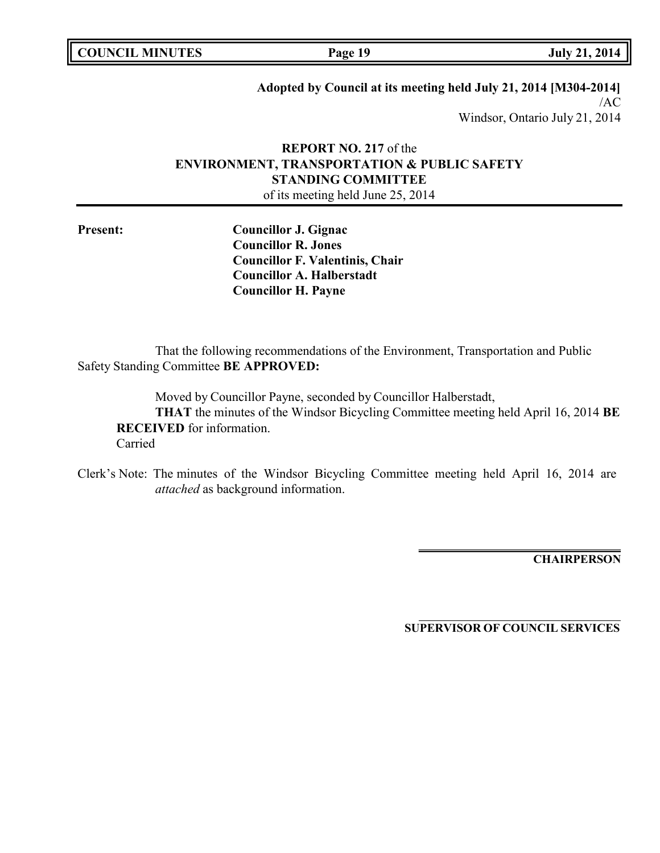| <b>COUNCIL MINUTES</b> |  |
|------------------------|--|
|------------------------|--|

## **Adopted by Council at its meeting held July 21, 2014 [M304-2014]**

/AC Windsor, Ontario July 21, 2014

# **REPORT NO. 217** of the **ENVIRONMENT, TRANSPORTATION & PUBLIC SAFETY STANDING COMMITTEE**

of its meeting held June 25, 2014

**Present: Councillor J. Gignac Councillor R. Jones Councillor F. Valentinis, Chair Councillor A. Halberstadt Councillor H. Payne**

That the following recommendations of the Environment, Transportation and Public Safety Standing Committee **BE APPROVED:**

Moved by Councillor Payne, seconded by Councillor Halberstadt,

**THAT** the minutes of the Windsor Bicycling Committee meeting held April 16, 2014 **BE RECEIVED** for information. Carried

Clerk's Note: The minutes of the Windsor Bicycling Committee meeting held April 16, 2014 are *attached* as background information.

**CHAIRPERSON**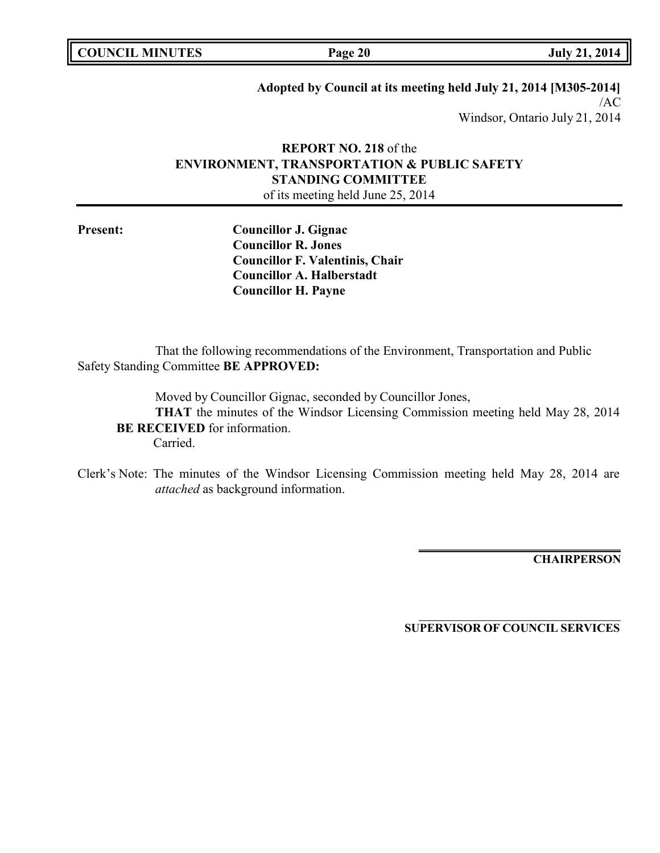| <b>COUNCIL MINUTES</b> |  |
|------------------------|--|
|------------------------|--|

## **Adopted by Council at its meeting held July 21, 2014 [M305-2014]**

/AC Windsor, Ontario July 21, 2014

## **REPORT NO. 218** of the **ENVIRONMENT, TRANSPORTATION & PUBLIC SAFETY STANDING COMMITTEE** of its meeting held June 25, 2014

**Present: Councillor J. Gignac Councillor R. Jones Councillor F. Valentinis, Chair Councillor A. Halberstadt Councillor H. Payne**

That the following recommendations of the Environment, Transportation and Public Safety Standing Committee **BE APPROVED:**

Moved by Councillor Gignac, seconded by Councillor Jones,

**THAT** the minutes of the Windsor Licensing Commission meeting held May 28, 2014 **BE RECEIVED** for information.

Carried.

Clerk's Note: The minutes of the Windsor Licensing Commission meeting held May 28, 2014 are *attached* as background information.

**CHAIRPERSON**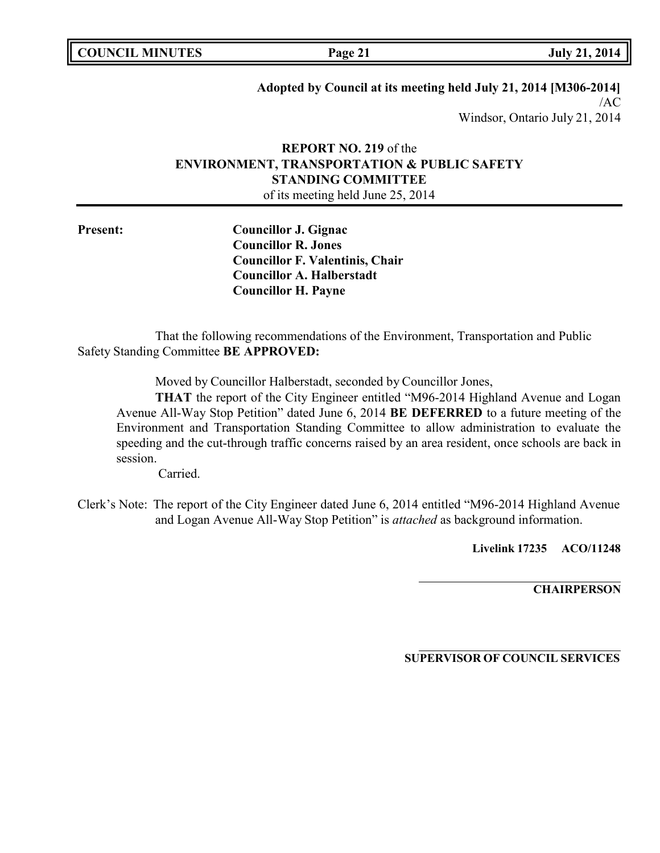| <b>COUNCIL MINUTES</b> |  |
|------------------------|--|
|------------------------|--|

## **Adopted by Council at its meeting held July 21, 2014 [M306-2014]**

/AC Windsor, Ontario July 21, 2014

## **REPORT NO. 219** of the **ENVIRONMENT, TRANSPORTATION & PUBLIC SAFETY STANDING COMMITTEE** of its meeting held June 25, 2014

**Present: Councillor J. Gignac Councillor R. Jones Councillor F. Valentinis, Chair Councillor A. Halberstadt Councillor H. Payne**

That the following recommendations of the Environment, Transportation and Public Safety Standing Committee **BE APPROVED:**

Moved by Councillor Halberstadt, seconded by Councillor Jones,

**THAT** the report of the City Engineer entitled "M96-2014 Highland Avenue and Logan Avenue All-Way Stop Petition" dated June 6, 2014 **BE DEFERRED** to a future meeting of the Environment and Transportation Standing Committee to allow administration to evaluate the speeding and the cut-through traffic concerns raised by an area resident, once schools are back in session.

Carried.

Clerk's Note: The report of the City Engineer dated June 6, 2014 entitled "M96-2014 Highland Avenue and Logan Avenue All-Way Stop Petition" is *attached* as background information.

**Livelink 17235 ACO/11248**

**CHAIRPERSON**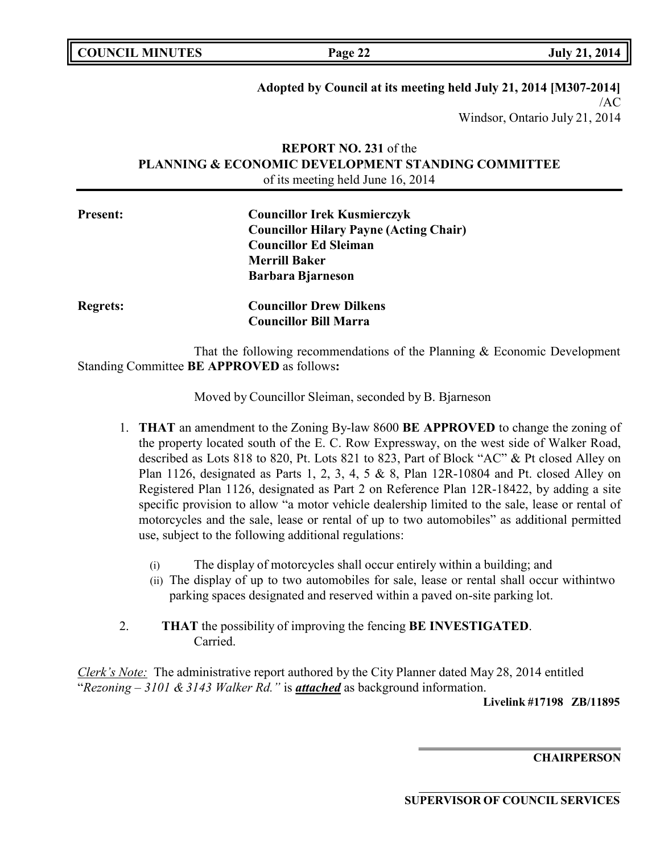## **Adopted by Council at its meeting held July 21, 2014 [M307-2014]**

/AC Windsor, Ontario July 21, 2014

## **REPORT NO. 231** of the **PLANNING & ECONOMIC DEVELOPMENT STANDING COMMITTEE** of its meeting held June 16, 2014

| <b>Present:</b> | <b>Councillor Irek Kusmierczyk</b><br><b>Councillor Hilary Payne (Acting Chair)</b> |  |
|-----------------|-------------------------------------------------------------------------------------|--|
|                 | <b>Councillor Ed Sleiman</b>                                                        |  |
|                 | <b>Merrill Baker</b>                                                                |  |
|                 | <b>Barbara Bjarneson</b>                                                            |  |
| <b>Regrets:</b> | <b>Councillor Drew Dilkens</b>                                                      |  |
|                 | <b>Councillor Bill Marra</b>                                                        |  |

That the following recommendations of the Planning & Economic Development Standing Committee **BE APPROVED** as follows**:**

Moved by Councillor Sleiman, seconded by B. Bjarneson

- 1. **THAT** an amendment to the Zoning By-law 8600 **BE APPROVED** to change the zoning of the property located south of the E. C. Row Expressway, on the west side of Walker Road, described as Lots 818 to 820, Pt. Lots 821 to 823, Part of Block "AC" & Pt closed Alley on Plan 1126, designated as Parts 1, 2, 3, 4, 5 & 8, Plan 12R-10804 and Pt. closed Alley on Registered Plan 1126, designated as Part 2 on Reference Plan 12R-18422, by adding a site specific provision to allow "a motor vehicle dealership limited to the sale, lease or rental of motorcycles and the sale, lease or rental of up to two automobiles" as additional permitted use, subject to the following additional regulations:
	- (i) The display of motorcycles shall occur entirely within a building; and
	- (ii) The display of up to two automobiles for sale, lease or rental shall occur withintwo parking spaces designated and reserved within a paved on-site parking lot.
- 2. **THAT** the possibility of improving the fencing **BE INVESTIGATED**. Carried.

*Clerk's Note:* The administrative report authored by the City Planner dated May 28, 2014 entitled "*Rezoning – 3101 & 3143 Walker Rd."* is *attached* as background information.

**Livelink #17198 ZB/11895**

**CHAIRPERSON**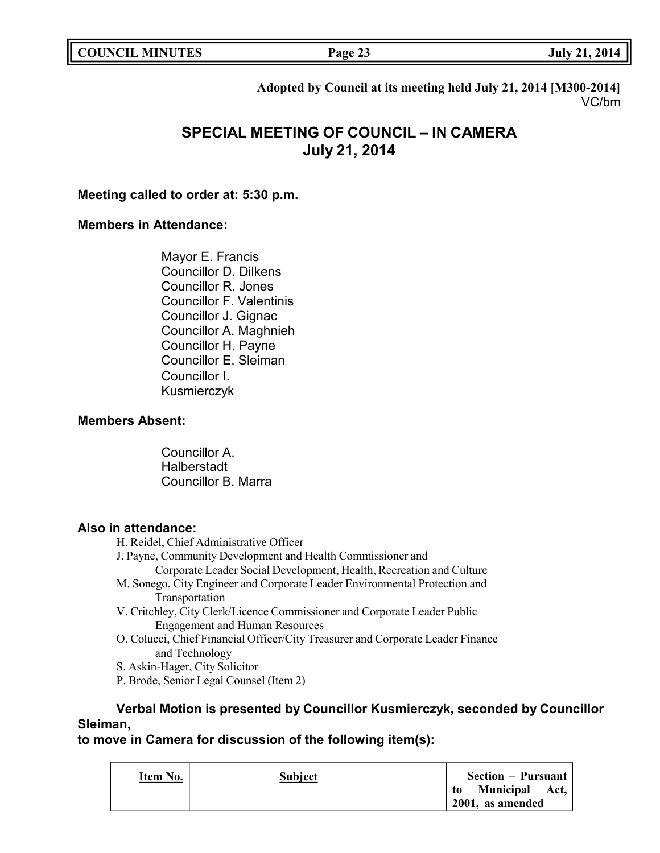**Adopted by Council at its meeting held July 21, 2014 [M300-2014]** VC/bm

# **SPECIAL MEETING OF COUNCIL – IN CAMERA July 21, 2014**

## **Meeting called to order at: 5:30 p.m.**

## **Members in Attendance:**

Mayor E. Francis Councillor D. Dilkens Councillor R. Jones Councillor F. Valentinis Councillor J. Gignac Councillor A. Maghnieh Councillor H. Payne Councillor E. Sleiman Councillor I. Kusmierczyk

## **Members Absent:**

Councillor A. Halberstadt Councillor B. Marra

## **Also in attendance:**

- H. Reidel, Chief Administrative Officer
- J. Payne, Community Development and Health Commissioner and
	- Corporate Leader Social Development, Health, Recreation and Culture
- M. Sonego, City Engineer and Corporate Leader Environmental Protection and Transportation
- V. Critchley, City Clerk/Licence Commissioner and Corporate Leader Public Engagement and Human Resources
- O. Colucci, Chief Financial Officer/City Treasurer and Corporate Leader Finance and Technology
- S. Askin-Hager, City Solicitor
- P. Brode, Senior Legal Counsel (Item 2)

## **Verbal Motion is presented by Councillor Kusmierczyk, seconded by Councillor Sleiman,**

## **to move in Camera for discussion of the following item(s):**

| Item No. | <b>Subject</b> | <b>Section – Pursuant</b> |
|----------|----------------|---------------------------|
|          |                | Municipal Act,<br>to      |
|          |                | 2001, as amended          |